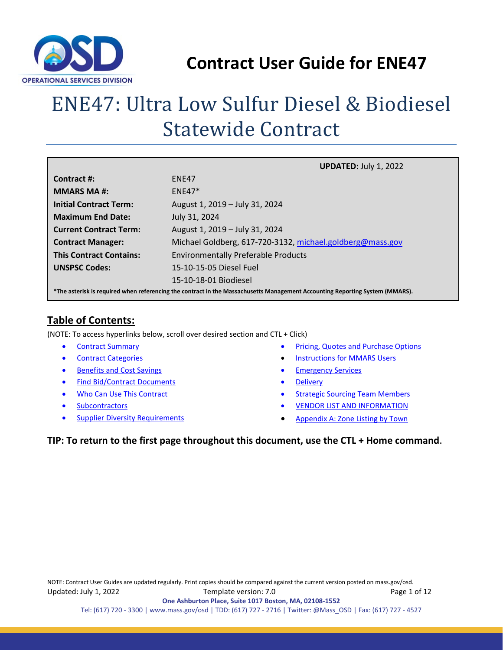

# ENE47: Ultra Low Sulfur Diesel & Biodiesel Statewide Contract

|                                                                                                                              | <b>UPDATED: July 1, 2022</b>                              |  |  |  |  |  |
|------------------------------------------------------------------------------------------------------------------------------|-----------------------------------------------------------|--|--|--|--|--|
| Contract #:                                                                                                                  | ENF47                                                     |  |  |  |  |  |
| <b>MMARS MA#:</b>                                                                                                            | $ENF47*$                                                  |  |  |  |  |  |
| <b>Initial Contract Term:</b>                                                                                                | August 1, 2019 - July 31, 2024                            |  |  |  |  |  |
| <b>Maximum End Date:</b>                                                                                                     | July 31, 2024                                             |  |  |  |  |  |
| <b>Current Contract Term:</b>                                                                                                | August 1, 2019 - July 31, 2024                            |  |  |  |  |  |
| <b>Contract Manager:</b>                                                                                                     | Michael Goldberg, 617-720-3132, michael.goldberg@mass.gov |  |  |  |  |  |
| <b>This Contract Contains:</b>                                                                                               | <b>Environmentally Preferable Products</b>                |  |  |  |  |  |
| <b>UNSPSC Codes:</b>                                                                                                         | 15-10-15-05 Diesel Fuel                                   |  |  |  |  |  |
|                                                                                                                              | 15-10-18-01 Biodiesel                                     |  |  |  |  |  |
| *The asterisk is required when referencing the contract in the Massachusetts Management Accounting Reporting System (MMARS). |                                                           |  |  |  |  |  |

## **Table of Contents:**

(NOTE: To access hyperlinks below, scroll over desired section and CTL + Click)

- **[Contract Summary](#page-1-0)**
- [Contract Categories](#page-1-1)
- [Benefits and Cost Savings](#page-1-2)
- **[Find Bid/Contract Documents](#page-2-0)**
- [Who Can Use This Contract](#page-2-1)
- **[Subcontractors](#page-2-2)**
- **[Supplier Diversity Requirements](#page-2-3)**
- Pricing, Quotes [and Purchase Options](#page-3-0)
- **[Instructions for MMARS Users](#page-8-0)**
- **[Emergency Services](#page-8-1)**
- **[Delivery](#page-8-2)**
- [Strategic Sourcing Team Members](#page-9-0)
- [VENDOR LIST AND INFORMATION](#page-10-0)
- Appendix A: [Zone Listing by Town](#page-11-0)

#### **TIP: To return to the first page throughout this document, use the CTL + Home command**.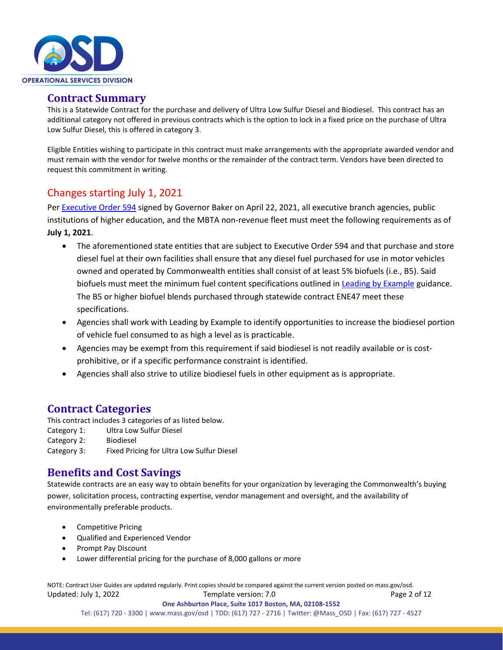

#### <span id="page-1-0"></span>**Contract Summary**

This is a Statewide Contract for the purchase and delivery of Ultra Low Sulfur Diesel and Biodiesel. This contract has an additional category not offered in previous contracts which is the option to lock in a fixed price on the purchase of Ultra Low Sulfur Diesel, this is offered in category 3.

Eligible Entities wishing to participate in this contract must make arrangements with the appropriate awarded vendor and must remain with the vendor for twelve months or the remainder of the contract term. Vendors have been directed to request this commitment in writing.

## Changes starting July 1, 2021

Per [Executive Order 594](https://www.mass.gov/executive-orders/no-594-leading-by-example-decarbonizing-and-minimizing-environmental-impacts-of-state-government) signed by Governor Baker on April 22, 2021, all executive branch agencies, public institutions of higher education, and the MBTA non-revenue fleet must meet the following requirements as of **July 1, 2021**.

- The aforementioned state entities that are subject to Executive Order 594 and that purchase and store diesel fuel at their own facilities shall ensure that any diesel fuel purchased for use in motor vehicles owned and operated by Commonwealth entities shall consist of at least 5% biofuels (i.e., B5). Said biofuels must meet the minimum fuel content specifications outlined in [Leading by Example](https://www.mass.gov/leading-by-example-program) guidance. The B5 or higher biofuel blends purchased through statewide contract ENE47 meet these specifications.
- Agencies shall work with Leading by Example to identify opportunities to increase the biodiesel portion of vehicle fuel consumed to as high a level as is practicable.
- Agencies may be exempt from this requirement if said biodiesel is not readily available or is costprohibitive, or if a specific performance constraint is identified.
- Agencies shall also strive to utilize biodiesel fuels in other equipment as is appropriate.

### <span id="page-1-1"></span>**Contract Categories**

This contract includes 3 categories of as listed below. Category 1: Ultra Low Sulfur Diesel Category 2: Biodiesel Category 3: Fixed Pricing for Ultra Low Sulfur Diesel

### <span id="page-1-2"></span>**Benefits and Cost Savings**

Statewide contracts are an easy way to obtain benefits for your organization by leveraging the Commonwealth's buying power, solicitation process, contracting expertise, vendor management and oversight, and the availability of environmentally preferable products.

- Competitive Pricing
- Qualified and Experienced Vendor
- Prompt Pay Discount
- Lower differential pricing for the purchase of 8,000 gallons or more

NOTE: Contract User Guides are updated regularly. Print copies should be compared against the current version posted on mass.gov/osd. Updated: July 1, 2022 Template version: 7.0 Page 2 of 12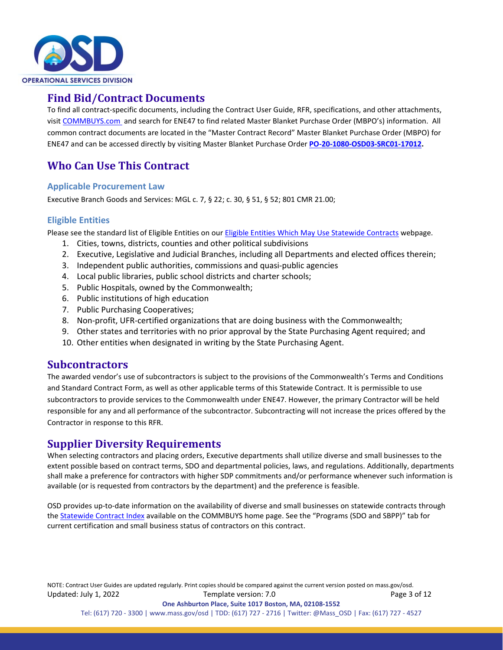

### <span id="page-2-0"></span>**Find Bid/Contract Documents**

To find all contract-specific documents, including the Contract User Guide, RFR, specifications, and other attachments, visi[t COMMBUYS.com](http://www.commbuys.com/) and search for ENE47 to find related Master Blanket Purchase Order (MBPO's) information. All common contract documents are located in the "Master Contract Record" Master Blanket Purchase Order (MBPO) for ENE47 and can be accessed directly by visiting Master Blanket Purchase Order **[PO-20-1080-OSD03-SRC01-17012.](https://www.commbuys.com/bso/external/purchaseorder/poSummary.sdo?docId=PO-20-1080-OSD03-SRC01-17012&releaseNbr=0&parentUrl=contract)**

## <span id="page-2-1"></span>**Who Can Use This Contract**

#### **Applicable Procurement Law**

Executive Branch Goods and Services: MGL c. 7, § 22; c. 30, § 51, § 52; 801 CMR 21.00;

#### **Eligible Entities**

Please see the standard list of Eligible Entities on our [Eligible Entities Which May Use Statewide Contracts](https://www.mass.gov/info-details/why-use-statewide-contracts#eligible-entities-which-may-use-statewide-contracts-) webpage.

- 1. Cities, towns, districts, counties and other political subdivisions
- 2. Executive, Legislative and Judicial Branches, including all Departments and elected offices therein;
- 3. Independent public authorities, commissions and quasi-public agencies
- 4. Local public libraries, public school districts and charter schools;
- 5. Public Hospitals, owned by the Commonwealth;
- 6. Public institutions of high education
- 7. Public Purchasing Cooperatives;
- 8. Non-profit, UFR-certified organizations that are doing business with the Commonwealth;
- 9. Other states and territories with no prior approval by the State Purchasing Agent required; and
- 10. Other entities when designated in writing by the State Purchasing Agent.

#### <span id="page-2-2"></span>**Subcontractors**

The awarded vendor's use of subcontractors is subject to the provisions of the Commonwealth's Terms and Conditions and Standard Contract Form, as well as other applicable terms of this Statewide Contract. It is permissible to use subcontractors to provide services to the Commonwealth under ENE47. However, the primary Contractor will be held responsible for any and all performance of the subcontractor. Subcontracting will not increase the prices offered by the Contractor in response to this RFR.

## <span id="page-2-3"></span>**Supplier Diversity Requirements**

When selecting contractors and placing orders, Executive departments shall utilize diverse and small businesses to the extent possible based on contract terms, SDO and departmental policies, laws, and regulations. Additionally, departments shall make a preference for contractors with higher SDP commitments and/or performance whenever such information is available (or is requested from contractors by the department) and the preference is feasible.

OSD provides up-to-date information on the availability of diverse and small businesses on statewide contracts through th[e Statewide Contract Index](https://www.mass.gov/doc/statewide-contract-index/download) available on the COMMBUYS home page. See the "Programs (SDO and SBPP)" tab for current certification and small business status of contractors on this contract.

NOTE: Contract User Guides are updated regularly. Print copies should be compared against the current version posted on mass.gov/osd. Updated: July 1, 2022 Template version: 7.0 Page 3 of 12 **One Ashburton Place, Suite 1017 Boston, MA, 02108-1552**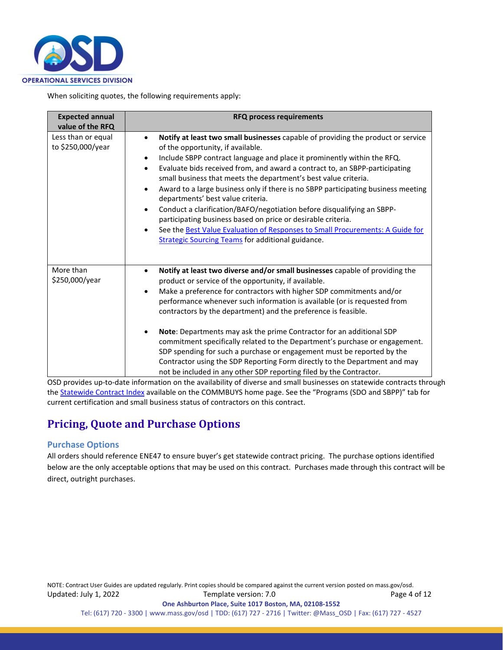

When soliciting quotes, the following requirements apply:

| <b>Expected annual</b><br>value of the RFQ | <b>RFQ process requirements</b>                                                                                                                                                                                                                                                                                                                                                                                                                                                                                                                                                                                                                                                                                                                                                                                              |
|--------------------------------------------|------------------------------------------------------------------------------------------------------------------------------------------------------------------------------------------------------------------------------------------------------------------------------------------------------------------------------------------------------------------------------------------------------------------------------------------------------------------------------------------------------------------------------------------------------------------------------------------------------------------------------------------------------------------------------------------------------------------------------------------------------------------------------------------------------------------------------|
| Less than or equal<br>to \$250,000/year    | Notify at least two small businesses capable of providing the product or service<br>of the opportunity, if available.<br>Include SBPP contract language and place it prominently within the RFQ.<br>$\bullet$<br>Evaluate bids received from, and award a contract to, an SBPP-participating<br>$\bullet$<br>small business that meets the department's best value criteria.<br>Award to a large business only if there is no SBPP participating business meeting<br>٠<br>departments' best value criteria.<br>Conduct a clarification/BAFO/negotiation before disqualifying an SBPP-<br>$\bullet$<br>participating business based on price or desirable criteria.<br>See the Best Value Evaluation of Responses to Small Procurements: A Guide for<br>$\bullet$<br><b>Strategic Sourcing Teams for additional guidance.</b> |
| More than<br>\$250,000/year                | Notify at least two diverse and/or small businesses capable of providing the<br>product or service of the opportunity, if available.<br>Make a preference for contractors with higher SDP commitments and/or<br>$\bullet$<br>performance whenever such information is available (or is requested from<br>contractors by the department) and the preference is feasible.<br>Note: Departments may ask the prime Contractor for an additional SDP<br>commitment specifically related to the Department's purchase or engagement.<br>SDP spending for such a purchase or engagement must be reported by the<br>Contractor using the SDP Reporting Form directly to the Department and may<br>not be included in any other SDP reporting filed by the Contractor.                                                                |

OSD provides up-to-date information on the availability of diverse and small businesses on statewide contracts through th[e Statewide Contract Index](https://www.mass.gov/doc/statewide-contract-index/download) available on the COMMBUYS home page. See the "Programs (SDO and SBPP)" tab for current certification and small business status of contractors on this contract.

## <span id="page-3-0"></span>**Pricing, Quote and Purchase Options**

#### **Purchase Options**

All orders should reference ENE47 to ensure buyer's get statewide contract pricing. The purchase options identified below are the only acceptable options that may be used on this contract. Purchases made through this contract will be direct, outright purchases.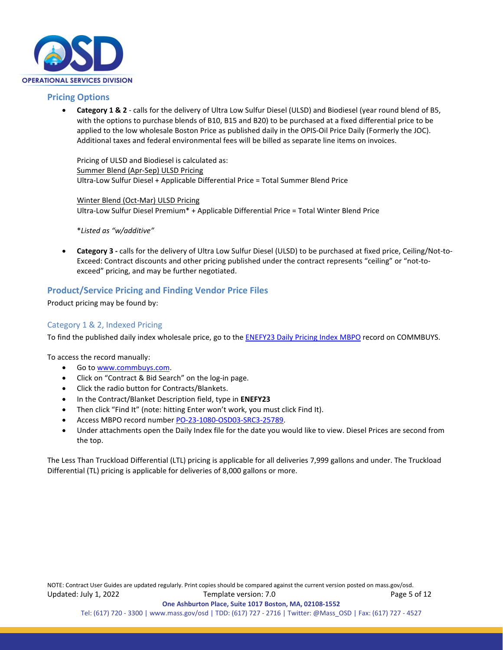

#### **Pricing Options**

• **Category 1 & 2** - calls for the delivery of Ultra Low Sulfur Diesel (ULSD) and Biodiesel (year round blend of B5, with the options to purchase blends of B10, B15 and B20) to be purchased at a fixed differential price to be applied to the low wholesale Boston Price as published daily in the OPIS-Oil Price Daily (Formerly the JOC). Additional taxes and federal environmental fees will be billed as separate line items on invoices.

Pricing of ULSD and Biodiesel is calculated as: Summer Blend (Apr-Sep) ULSD Pricing Ultra-Low Sulfur Diesel + Applicable Differential Price = Total Summer Blend Price

Winter Blend (Oct-Mar) ULSD Pricing Ultra-Low Sulfur Diesel Premium\* + Applicable Differential Price = Total Winter Blend Price

\**Listed as "w/additive"*

• **Category 3 -** calls for the delivery of Ultra Low Sulfur Diesel (ULSD) to be purchased at fixed price, Ceiling/Not-to-Exceed: Contract discounts and other pricing published under the contract represents "ceiling" or "not-toexceed" pricing, and may be further negotiated.

#### **Product/Service Pricing and Finding Vendor Price Files**

Product pricing may be found by:

#### Category 1 & 2, Indexed Pricing

To find the published daily index wholesale price, go to the **ENEFY23 Daily Pricing Index MBPO** record on COMMBUYS.

To access the record manually:

- Go t[o www.commbuys.com.](http://www.commbuys.com/)
- Click on "Contract & Bid Search" on the log-in page.
- Click the radio button for Contracts/Blankets.
- In the Contract/Blanket Description field, type in **ENEFY23**
- Then click "Find It" (note: hitting Enter won't work, you must click Find It).
- Access MBPO record numbe[r PO-23-1080-OSD03-SRC3-25789.](https://www.commbuys.com/bso/external/purchaseorder/poSummary.sdo?docId=PO-23-1080-OSD03-SRC3-25789&releaseNbr=0&external=true&parentUrl=close)
- Under attachments open the Daily Index file for the date you would like to view. Diesel Prices are second from the top.

The Less Than Truckload Differential (LTL) pricing is applicable for all deliveries 7,999 gallons and under. The Truckload Differential (TL) pricing is applicable for deliveries of 8,000 gallons or more.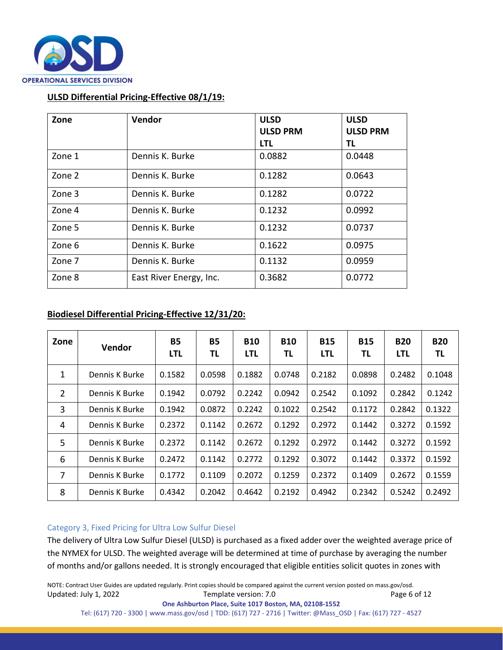

#### **ULSD Differential Pricing-Effective 08/1/19:**

| Zone   | Vendor                  | <b>ULSD</b><br><b>ULSD PRM</b> | <b>ULSD</b><br><b>ULSD PRM</b> |
|--------|-------------------------|--------------------------------|--------------------------------|
|        |                         | <b>LTL</b>                     | TL                             |
| Zone 1 | Dennis K. Burke         | 0.0882                         | 0.0448                         |
| Zone 2 | Dennis K. Burke         | 0.1282                         | 0.0643                         |
| Zone 3 | Dennis K. Burke         | 0.1282                         | 0.0722                         |
| Zone 4 | Dennis K. Burke         | 0.1232                         | 0.0992                         |
| Zone 5 | Dennis K. Burke         | 0.1232                         | 0.0737                         |
| Zone 6 | Dennis K. Burke         | 0.1622                         | 0.0975                         |
| Zone 7 | Dennis K. Burke         | 0.1132                         | 0.0959                         |
| Zone 8 | East River Energy, Inc. | 0.3682                         | 0.0772                         |

#### **Biodiesel Differential Pricing-Effective 12/31/20:**

| Zone | <b>Vendor</b>  | <b>B5</b><br><b>LTL</b> | <b>B5</b><br>ΤL | <b>B10</b><br><b>LTL</b> | <b>B10</b><br>ΤL | <b>B15</b><br><b>LTL</b> | <b>B15</b><br>ΤL | <b>B20</b><br>LTL | <b>B20</b><br>ΤL |
|------|----------------|-------------------------|-----------------|--------------------------|------------------|--------------------------|------------------|-------------------|------------------|
| 1    | Dennis K Burke | 0.1582                  | 0.0598          | 0.1882                   | 0.0748           | 0.2182                   | 0.0898           | 0.2482            | 0.1048           |
| 2    | Dennis K Burke | 0.1942                  | 0.0792          | 0.2242                   | 0.0942           | 0.2542                   | 0.1092           | 0.2842            | 0.1242           |
| 3    | Dennis K Burke | 0.1942                  | 0.0872          | 0.2242                   | 0.1022           | 0.2542                   | 0.1172           | 0.2842            | 0.1322           |
| 4    | Dennis K Burke | 0.2372                  | 0.1142          | 0.2672                   | 0.1292           | 0.2972                   | 0.1442           | 0.3272            | 0.1592           |
| 5    | Dennis K Burke | 0.2372                  | 0.1142          | 0.2672                   | 0.1292           | 0.2972                   | 0.1442           | 0.3272            | 0.1592           |
| 6    | Dennis K Burke | 0.2472                  | 0.1142          | 0.2772                   | 0.1292           | 0.3072                   | 0.1442           | 0.3372            | 0.1592           |
| 7    | Dennis K Burke | 0.1772                  | 0.1109          | 0.2072                   | 0.1259           | 0.2372                   | 0.1409           | 0.2672            | 0.1559           |
| 8    | Dennis K Burke | 0.4342                  | 0.2042          | 0.4642                   | 0.2192           | 0.4942                   | 0.2342           | 0.5242            | 0.2492           |

#### Category 3, Fixed Pricing for Ultra Low Sulfur Diesel

The delivery of Ultra Low Sulfur Diesel (ULSD) is purchased as a fixed adder over the weighted average price of the NYMEX for ULSD. The weighted average will be determined at time of purchase by averaging the number of months and/or gallons needed. It is strongly encouraged that eligible entities solicit quotes in zones with

NOTE: Contract User Guides are updated regularly. Print copies should be compared against the current version posted on mass.gov/osd. Updated: July 1, 2022 Template version: 7.0 Page 6 of 12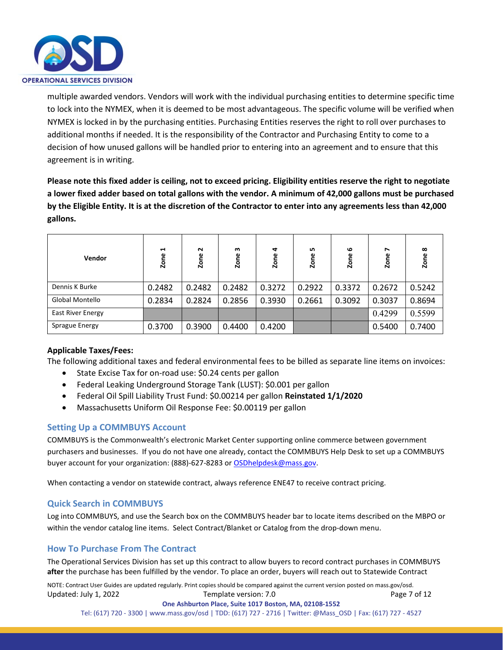

multiple awarded vendors. Vendors will work with the individual purchasing entities to determine specific time to lock into the NYMEX, when it is deemed to be most advantageous. The specific volume will be verified when NYMEX is locked in by the purchasing entities. Purchasing Entities reserves the right to roll over purchases to additional months if needed. It is the responsibility of the Contractor and Purchasing Entity to come to a decision of how unused gallons will be handled prior to entering into an agreement and to ensure that this agreement is in writing.

**Please note this fixed adder is ceiling, not to exceed pricing. Eligibility entities reserve the right to negotiate a lower fixed adder based on total gallons with the vendor. A minimum of 42,000 gallons must be purchased by the Eligible Entity. It is at the discretion of the Contractor to enter into any agreements less than 42,000 gallons.**

| <b>Vendor</b>            | $\blacksquare$<br>Zone | $\sim$<br>Zone | m<br>Zone | 4<br>Zone | n,<br>Zone | $\circ$<br>Zone | ↖<br>Zone | $\infty$<br>Zone |
|--------------------------|------------------------|----------------|-----------|-----------|------------|-----------------|-----------|------------------|
| Dennis K Burke           | 0.2482                 | 0.2482         | 0.2482    | 0.3272    | 0.2922     | 0.3372          | 0.2672    | 0.5242           |
| Global Montello          | 0.2834                 | 0.2824         | 0.2856    | 0.3930    | 0.2661     | 0.3092          | 0.3037    | 0.8694           |
| <b>East River Energy</b> |                        |                |           |           |            |                 | 0.4299    | 0.5599           |
| Sprague Energy           | 0.3700                 | 0.3900         | 0.4400    | 0.4200    |            |                 | 0.5400    | 0.7400           |

#### **Applicable Taxes/Fees:**

The following additional taxes and federal environmental fees to be billed as separate line items on invoices:

- State Excise Tax for on-road use: \$0.24 cents per gallon
- Federal Leaking Underground Storage Tank (LUST): \$0.001 per gallon
- Federal Oil Spill Liability Trust Fund: \$0.00214 per gallon **Reinstated 1/1/2020**
- Massachusetts Uniform Oil Response Fee: \$0.00119 per gallon

#### **Setting Up a COMMBUYS Account**

COMMBUYS is the Commonwealth's electronic Market Center supporting online commerce between government purchasers and businesses. If you do not have one already, contact the COMMBUYS Help Desk to set up a COMMBUYS buyer account for your organization: (888)-627-8283 o[r OSDhelpdesk@mass.gov.](mailto:OSDhelpdesk@mass.gov)

When contacting a vendor on statewide contract, always reference ENE47 to receive contract pricing.

#### **Quick Search in COMMBUYS**

Log into COMMBUYS, and use the Search box on the COMMBUYS header bar to locate items described on the MBPO or within the vendor catalog line items. Select Contract/Blanket or Catalog from the drop-down menu.

#### **How To Purchase From The Contract**

The Operational Services Division has set up this contract to allow buyers to record contract purchases in COMMBUYS **after** the purchase has been fulfilled by the vendor. To place an order, buyers will reach out to Statewide Contract

NOTE: Contract User Guides are updated regularly. Print copies should be compared against the current version posted on mass.gov/osd. Updated: July 1, 2022 Template version: 7.0 Page 7 of 12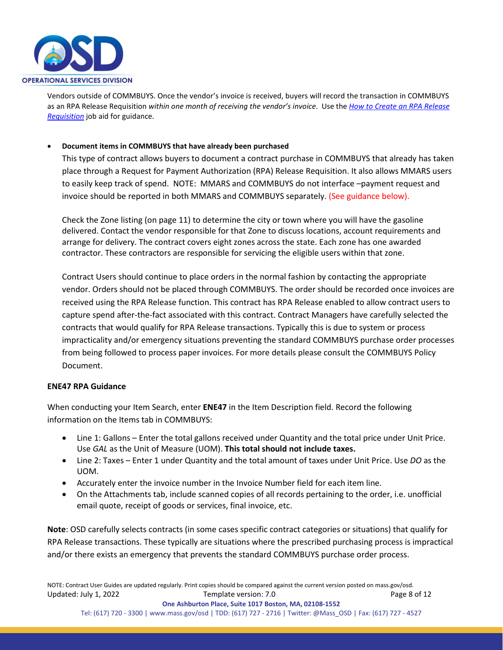

Vendors outside of COMMBUYS. Once the vendor's invoice is received, buyers will record the transaction in COMMBUYS as an RPA Release Requisition *within one month of receiving the vendor's invoice*. Use the *[How to Create an RPA Release](https://www.mass.gov/media/1528801/download)  [Requisition](https://www.mass.gov/media/1528801/download)* job aid for guidance.

#### • **Document items in COMMBUYS that have already been purchased**

This type of contract allows buyers to document a contract purchase in COMMBUYS that already has taken place through a Request for Payment Authorization (RPA) Release Requisition. It also allows MMARS users to easily keep track of spend. NOTE: MMARS and COMMBUYS do not interface –payment request and invoice should be reported in both MMARS and COMMBUYS separately. (See guidance below).

Check the Zone listing (on page 11) to determine the city or town where you will have the gasoline delivered. Contact the vendor responsible for that Zone to discuss locations, account requirements and arrange for delivery. The contract covers eight zones across the state. Each zone has one awarded contractor. These contractors are responsible for servicing the eligible users within that zone.

Contract Users should continue to place orders in the normal fashion by contacting the appropriate vendor. Orders should not be placed through COMMBUYS. The order should be recorded once invoices are received using the RPA Release function. This contract has RPA Release enabled to allow contract users to capture spend after-the-fact associated with this contract. Contract Managers have carefully selected the contracts that would qualify for RPA Release transactions. Typically this is due to system or process impracticality and/or emergency situations preventing the standard COMMBUYS purchase order processes from being followed to process paper invoices. For more details please consult the COMMBUYS Policy Document.

#### **ENE47 RPA Guidance**

When conducting your Item Search, enter **ENE47** in the Item Description field. Record the following information on the Items tab in COMMBUYS:

- Line 1: Gallons Enter the total gallons received under Quantity and the total price under Unit Price. Use *GAL* as the Unit of Measure (UOM). **This total should not include taxes.**
- Line 2: Taxes Enter 1 under Quantity and the total amount of taxes under Unit Price. Use *DO* as the UOM.
- Accurately enter the invoice number in the Invoice Number field for each item line.
- On the Attachments tab, include scanned copies of all records pertaining to the order, i.e. unofficial email quote, receipt of goods or services, final invoice, etc.

**Note**: OSD carefully selects contracts (in some cases specific contract categories or situations) that qualify for RPA Release transactions. These typically are situations where the prescribed purchasing process is impractical and/or there exists an emergency that prevents the standard COMMBUYS purchase order process.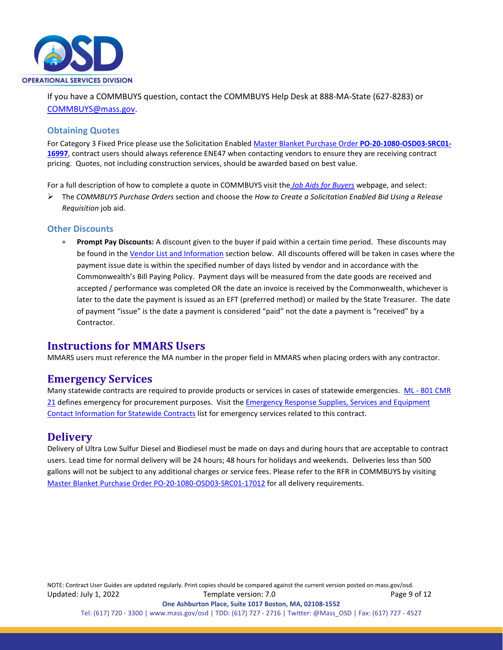

If you have a COMMBUYS question, contact the COMMBUYS Help Desk at 888-MA-State (627-8283) or [COMMBUYS@mass.gov.](mailto:COMMBUYS@mass.gov)

#### **Obtaining Quotes**

For Category 3 Fixed Price please use the Solicitation Enable[d Master Blanket Purchase Order](https://www.commbuys.com/bso/external/purchaseorder/poSummary.sdo?docId=PO-20-1080-OSD03-SRC01-16997&releaseNbr=0&parentUrl=contract) **PO-20-1080-OSD03-SRC01- [16997](https://www.commbuys.com/bso/external/purchaseorder/poSummary.sdo?docId=PO-20-1080-OSD03-SRC01-16997&releaseNbr=0&parentUrl=contract)**, contract users should always reference ENE47 when contacting vendors to ensure they are receiving contract pricing. Quotes, not including construction services, should be awarded based on best value.

For a full description of how to complete a quote in COMMBUYS visit the *[Job Aids for Buyers](https://www.mass.gov/lists/job-aids-for-buyers-using-commbuys)* webpage, and select:

 The *COMMBUYS Purchase Orders* section and choose the *How to Create a Solicitation Enabled Bid Using a Release Requisition* job aid.

#### **Other Discounts**

• **Prompt Pay Discounts:** A discount given to the buyer if paid within a certain time period. These discounts may be found in the [Vendor List and Information](#page-10-0) section below. All discounts offered will be taken in cases where the payment issue date is within the specified number of days listed by vendor and in accordance with the Commonwealth's Bill Paying Policy. Payment days will be measured from the date goods are received and accepted / performance was completed OR the date an invoice is received by the Commonwealth, whichever is later to the date the payment is issued as an EFT (preferred method) or mailed by the State Treasurer. The date of payment "issue" is the date a payment is considered "paid" not the date a payment is "received" by a Contractor.

#### <span id="page-8-0"></span>**Instructions for MMARS Users**

MMARS users must reference the MA number in the proper field in MMARS when placing orders with any contractor.

#### <span id="page-8-1"></span>**Emergency Services**

Many statewide contracts are required to provide products or services in cases of statewide emergencies. ML - 801 CMR [21](https://www.mass.gov/regulations/801-CMR-21-procurement-of-commodities-or-services-including-human-and-social-services) defines emergency for procurement purposes. Visit the Emergency Response Supplies, Services and Equipment [Contact Information for Statewide Contracts](https://www.mass.gov/doc/emergency-response-supplies-services-and-equipment-contact-information) list for emergency services related to this contract.

#### <span id="page-8-2"></span>**Delivery**

Delivery of Ultra Low Sulfur Diesel and Biodiesel must be made on days and during hours that are acceptable to contract users. Lead time for normal delivery will be 24 hours; 48 hours for holidays and weekends. Deliveries less than 500 gallons will not be subject to any additional charges or service fees. Please refer to the RFR in COMMBUYS by visiting [Master Blanket Purchase Order PO-20-1080-OSD03-SRC01-17012](https://www.commbuys.com/bso/external/purchaseorder/poSummary.sdo?docId=PO-20-1080-OSD03-SRC01-17012&releaseNbr=0&parentUrl=contract) for all delivery requirements.

NOTE: Contract User Guides are updated regularly. Print copies should be compared against the current version posted on mass.gov/osd. Updated: July 1, 2022 Template version: 7.0 Page 9 of 12 **One Ashburton Place, Suite 1017 Boston, MA, 02108-1552**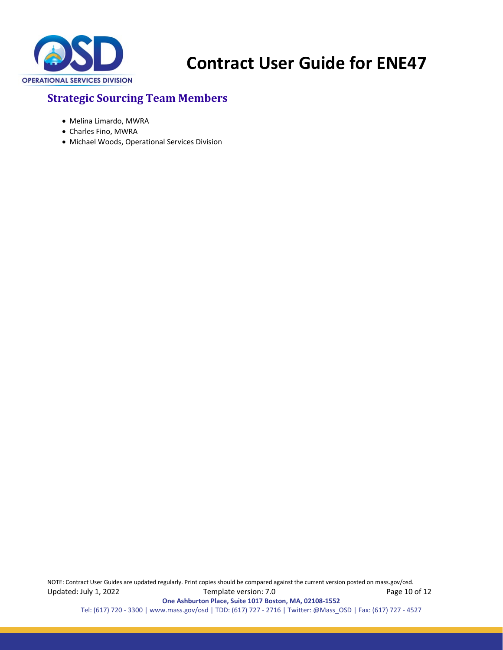

## <span id="page-9-0"></span>**Strategic Sourcing Team Members**

- Melina Limardo, MWRA
- Charles Fino, MWRA
- Michael Woods, Operational Services Division

NOTE: Contract User Guides are updated regularly. Print copies should be compared against the current version posted on mass.gov/osd. Updated: July 1, 2022 Template version: 7.0 Page 10 of 12 **One Ashburton Place, Suite 1017 Boston, MA, 02108-1552**

Tel: (617) 720 - 3300 [| www.mass.gov/osd |](http://www.mass.gov/osd) TDD: (617) 727 - 2716 | Twitter: @Mass\_OSD | Fax: (617) 727 - 4527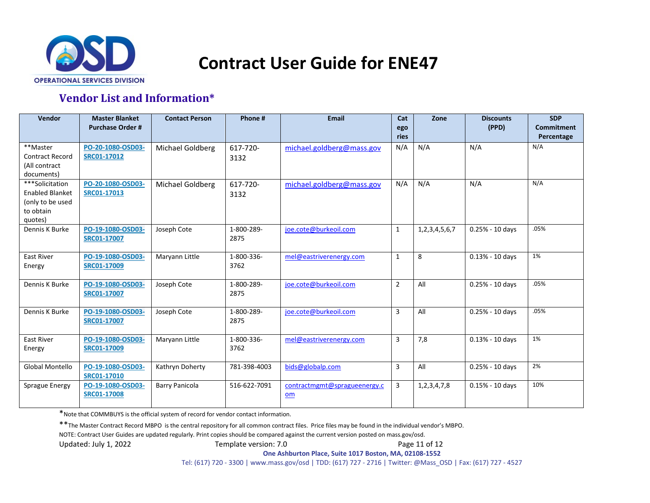

## **Vendor List and Information\***

<span id="page-10-0"></span>

| Vendor                                                                                | <b>Master Blanket</b><br><b>Purchase Order#</b> | <b>Contact Person</b> | Phone #            | <b>Email</b>                       | Cat<br>ego<br>ries | Zone                | <b>Discounts</b><br>(PPD) | <b>SDP</b><br><b>Commitment</b><br>Percentage |
|---------------------------------------------------------------------------------------|-------------------------------------------------|-----------------------|--------------------|------------------------------------|--------------------|---------------------|---------------------------|-----------------------------------------------|
| **Master<br><b>Contract Record</b><br>(All contract<br>documents)                     | PO-20-1080-OSD03-<br>SRC01-17012                | Michael Goldberg      | 617-720-<br>3132   | michael.goldberg@mass.gov          | N/A                | N/A                 | N/A                       | N/A                                           |
| ***Solicitation<br><b>Enabled Blanket</b><br>(only to be used<br>to obtain<br>quotes) | PO-20-1080-OSD03-<br>SRC01-17013                | Michael Goldberg      | 617-720-<br>3132   | michael.goldberg@mass.gov          | N/A                | N/A                 | N/A                       | N/A                                           |
| Dennis K Burke                                                                        | PO-19-1080-OSD03-<br><b>SRC01-17007</b>         | Joseph Cote           | 1-800-289-<br>2875 | ioe.cote@burkeoil.com              | $\mathbf{1}$       | 1, 2, 3, 4, 5, 6, 7 | $0.25% - 10$ days         | .05%                                          |
| <b>East River</b><br>Energy                                                           | PO-19-1080-OSD03-<br><b>SRC01-17009</b>         | Maryann Little        | 1-800-336-<br>3762 | mel@eastriverenergy.com            | 1                  | 8                   | $0.13% - 10$ days         | 1%                                            |
| Dennis K Burke                                                                        | PO-19-1080-OSD03-<br>SRC01-17007                | Joseph Cote           | 1-800-289-<br>2875 | joe.cote@burkeoil.com              | $\overline{2}$     | All                 | $0.25% - 10$ days         | .05%                                          |
| Dennis K Burke                                                                        | PO-19-1080-OSD03-<br>SRC01-17007                | Joseph Cote           | 1-800-289-<br>2875 | joe.cote@burkeoil.com              | 3                  | All                 | $0.25% - 10$ days         | .05%                                          |
| <b>East River</b><br>Energy                                                           | PO-19-1080-OSD03-<br>SRC01-17009                | Maryann Little        | 1-800-336-<br>3762 | mel@eastriverenergy.com            | 3                  | 7,8                 | $0.13% - 10$ days         | 1%                                            |
| Global Montello                                                                       | PO-19-1080-OSD03-<br>SRC01-17010                | Kathryn Doherty       | 781-398-4003       | bids@globalp.com                   | 3                  | All                 | $0.25% - 10$ days         | 2%                                            |
| Sprague Energy                                                                        | PO-19-1080-OSD03-<br><b>SRC01-17008</b>         | <b>Barry Panicola</b> | 516-622-7091       | contractmgmt@spragueenergy.c<br>om | 3                  | 1, 2, 3, 4, 7, 8    | $0.15% - 10$ days         | 10%                                           |

\*Note that COMMBUYS is the official system of record for vendor contact information.

\*\*The Master Contract Record MBPO is the central repository for all common contract files. Price files may be found in the individual vendor's MBPO.

NOTE: Contract User Guides are updated regularly. Print copies should be compared against the current version posted on mass.gov/osd.

Updated: July 1, 2022 Template version: 7.0 Page 11 of 12

**One Ashburton Place, Suite 1017 Boston, MA, 02108-1552**

Tel: (617) 720 - 3300 | [www.mass.gov/osd |](http://www.mass.gov/osd) TDD: (617) 727 - 2716 | Twitter: @Mass\_OSD | Fax: (617) 727 - 4527